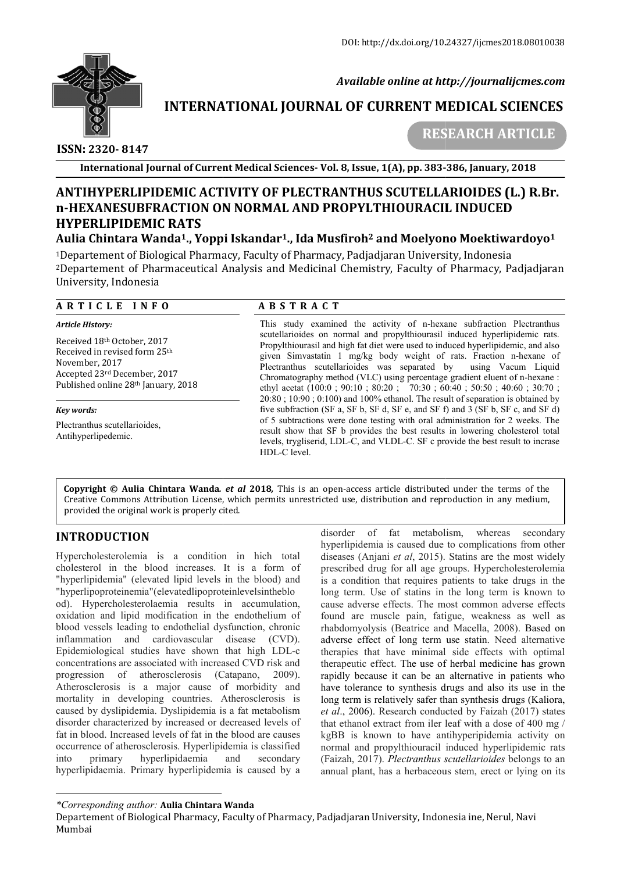

 *Available online at http://journalijcmes.com*

# **INTERNATIONAL JOURNAL OF CURRENT MEDICAL SCIENCES SCIENCES**

 **ISSN: 2320- 8147**

 **RESEARCH ARTICLE**

**International Journal of Current Medical Sciences Sciences- Vol. 8, Issue, 1(A), pp. 383-**

# **ANTIHYPERLIPIDEMIC ACTIVITY OF PLECTRANTHUS SCUTELLARIOIDES (L.) R.Br. n-HEXANESUBFRACTION ON NORMAL AND HEXANESUBFRACTION PROPYLTHIOURACIL INDUCED HYPERLIPIDEMIC RATS**

# **Aulia Chintara Wanda1., Yoppi Iskandar ., Iskandar1., Ida Musfiroh2 and Moelyono Moektiwardoyo Moelyono Moektiwardoyo1**

1Departement of Biological Pharmacy, Faculty of Pharmacy, Padjadjaran University, Indonesia Departement <sup>1</sup>Departement of Biological Pharmacy, Faculty of Pharmacy, Padjadjaran University, Indonesia<br><sup>2</sup>Departement of Pharmaceutical Analysis and Medicinal Chemistry, Faculty of Pharmacy, Padjadjaran University, Indonesia

### **A R T I C L E I N F O**

#### *Article History:*

Received 18th October, 2017 Received in revised form 25th November, 2017 Accepted 23rd December, 2017 Published online 28th January, 2018

#### *Key words:*

Plectranthus scutellarioides, Antihyperlipedemic.

## **A B S T R A C T**

This study examined the activity of n-hexane subfraction Plectranthus scutellarioides on normal and propylthiourasil induced hyperlipidemic rats. Propylthiourasil and high fat diet were used to induced hyperlipidemic, and also given Simvastatin 1 mg/kg body weight of rats. Fraction n-hexane of Plectranthus scutellarioides was separated by using Vacum Liquid Plectranthus scutellarioides was separated by using Vacum Liquid Chromatography method (VLC) using percentage gradient eluent of n-hexane : ethyl acetat (100:0 ; 90:10 ; 80:20 ; 70:30 ; 60:40 ; 50:50 ; 40:60 ; 30:70 ; 20:80 ; 10:90 ; 0:100) and 100% ethanol. The result of separation is obtained by five subfraction (SF a, SF b, SF d, SF e, and SF f) and 3 (SF b, SF c, and SF d) of 5 subtractions were done testing with oral administration for 2 weeks. The result show that SF b provides the best results in lowering cholesterol total levels, trygliserid, LDL-C, and VLDL-C. SF c provide the best result to incrase HDL-C level. mined the activity of n-hexane subfraction Plectranthus<br>on normal and propylthiourasil induced hyperlipidemic rats.<br>and high fat diet were used to induced hyperlipidemic, and also ethyl acetat  $(100:0; 90:10; 80:20; 70:30; 60:40; 50:50; 40:60; 30:70; 20:80; 10:90; 0:100)$  and  $100\%$  ethanol. The result of separation is obtained by five subfraction (SF a, SF b, SF d, SF e, and SF f) and 3 (SF b, SF

**Copyright © Aulia Chintara Wanda***. et al* **2018***,* This is an open-access article distributed under the terms of the **Copyright © Aulia Chintara Wanda.** *et al* **2018,** This is an open-access article distributed under the terms of the<br>Creative Commons Attribution License, which permits unrestricted use, distribution and reproduction in any provided the original work is properly cited. ides the best results in lowering cholesterol total<br>hd VLDL-C. SF c provide the best result to incrase<br>s article distributed under the terms of the<br>istribution and reproduction in any medium,<br>of fat metabolism, whereas sec

# **INTRODUCTION**

Hypercholesterolemia is a condition in hich total cholesterol in the blood increases. It is a form of "hyperlipidemia" (elevated lipid levels in the blood) and "hyperlipoproteinemia"(elevatedlipoproteinlevelsintheblo "hyperlipoproteinemia" (elevatedlipoproteinlevelsintheblo<br>od). Hypercholesterolaemia results in accumulation, oxidation and lipid modification in the endothelium of blood vessels leading to endothelial dysfunction, chronic inflammation and cardiovascular disease (CVD). Epidemiological studies have shown that high LDL concentrations are associated with increased CVD risk and progression of atherosclerosis (Catapano, 2009). Atherosclerosis is a major cause of morbidity and mortality in developing countries. Atherosclerosis is caused by dyslipidemia. Dyslipidemia is a fat metabolism disorder characterized by increased or decreased levels of fat in blood. Increased levels of fat in the blood are causes occurrence of atherosclerosis. Hyperlipidemia is classified into primary hyperlipidaemia and secondary hyperlipidaemia. Primary hyperlipidemia is caused by a l dysfunction, chronic<br>ar disease (CVD).<br>wn that high LDL-c

**TRODUCTION**<br> **EXENTIVE A** disorder of fat metabolism, whereas secondary<br>
pyercholesterole in the blood increases. It is a form of<br>
discasses (Anjani *et al*, 2015). Statins are the most widely<br>
objectly cleveted lipid le hyperlipidemia is caused due to complications from oth diseases (Anjani *et al*, 2015). Statins are the most widely prescribed drug for all age groups. Hypercholesterolemia is a condition that requires patients to take drugs in the is a condition that requires patients to take drugs in the long term. Use of statins in the long term is known to cause adverse effects. The most common adverse effects found are muscle pain, fatigue, weakness as well as rhabdomyolysis (Beatrice and Macella, 2008). adverse effect of long term use statin. Need alternative therapies that have minimal side effects with optimal therapeutic effect. The use of herbal medicine has grown rapidly because it can be an alternative in patients who have tolerance to synthesis drugs and also its use in the long term is relatively safer than synthesis drugs (Kaliora, *et al*., 2006). Research conducted by Faizah (2017) states that ethanol extract from iler leaf with a dose of 400 mg / kgBB is known to have antihyperipidemia activity on normal and propylthiouracil induced hyperlipidemic rats (Faizah, 2017). *Plectranthus scutellarioides* belongs to an annual plant, has a herbaceous stem, erect or lying on its most common adverse effects<br>atigue, weakness as well as<br>and Macella, 2008). Based on therapies that have minimal side effects with optimal therapeutic effect. The use of herbal medicine has grown rapidly because it can be an alternative in patients who have tolerance to synthesis drugs and also its use in **Example 186, January, 2018**<br> **ARIOIDES (L.) R.**<br> **IL INDUCED**<br> **no Moektiwardoy**<br>
sity, Indonesia<br>
f Pharmacy, Padjad<br> **and the property of the property of the property induced hyperlipidemic duced hyperlipidemic, and<br>
f** 

*<sup>\*</sup>Corresponding author:* **Aulia Chintara Wanda**

Departement of Biological Pharmacy, Faculty of Pharmacy, Padjadjaran University, Indonesia ine, Nerul, Navi Mumbai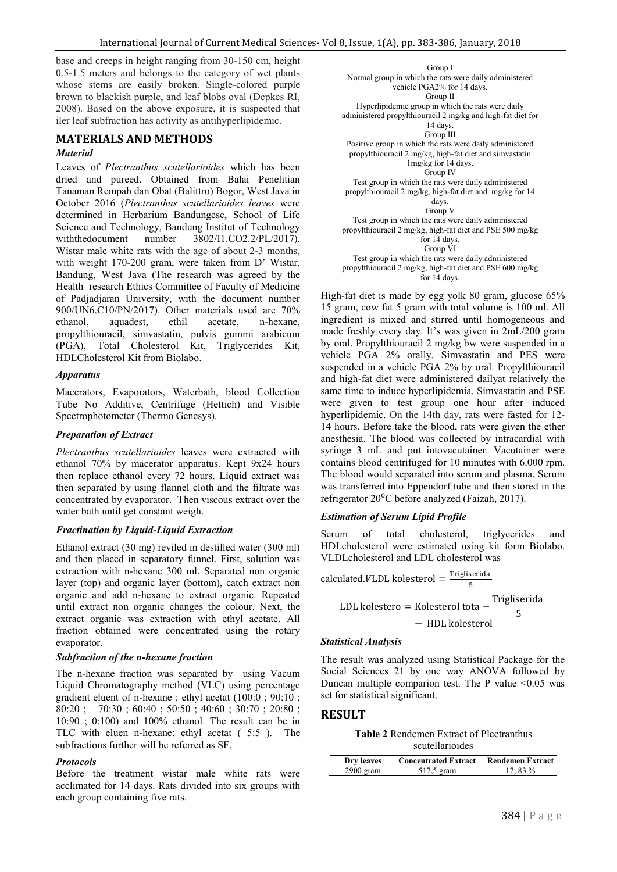base and creeps in height ranging from 30-150 cm, height 0.5-1.5 meters and belongs to the category of wet plants whose stems are easily broken. Single-colored purple brown to blackish purple, and leaf blobs oval (Depkes RI, 2008). Based on the above exposure, it is suspected that iler leaf subfraction has activity as antihyperlipidemic.

# **MATERIALS AND METHODS**

#### *Material*

Leaves of *Plectranthus scutellarioides* which has been dried and pureed. Obtained from Balai Penelitian Tanaman Rempah dan Obat (Balittro) Bogor, West Java in October 2016 (*Plectranthus scutellarioides leaves* were determined in Herbarium Bandungese, School of Life Science and Technology, Bandung Institut of Technology withthedocument number 3802/I1.CO2.2/PL/2017). Wistar male white rats with the age of about 2-3 months, with weight 170-200 gram, were taken from D' Wistar, Bandung, West Java (The research was agreed by the Health research Ethics Committee of Faculty of Medicine of Padjadjaran University, with the document number 900/UN6.C10/PN/2017). Other materials used are 70% ethanol, aquadest, ethil acetate, n-hexane, propylthiouracil, simvastatin, pulvis gummi arabicum (PGA), Total Cholesterol Kit, Triglycerides Kit, HDLCholesterol Kit from Biolabo.

#### *Apparatus*

Macerators, Evaporators, Waterbath, blood Collection Tube No Additive, Centrifuge (Hettich) and Visible Spectrophotometer (Thermo Genesys).

#### *Preparation of Extract*

*Plectranthus scutellarioides* leaves were extracted with ethanol 70% by macerator apparatus. Kept 9x24 hours then replace ethanol every 72 hours. Liquid extract was then separated by using flannel cloth and the filtrate was concentrated by evaporator. Then viscous extract over the water bath until get constant weigh.

#### *Fractination by Liquid-Liquid Extraction*

Ethanol extract (30 mg) reviled in destilled water (300 ml) and then placed in separatory funnel. First, solution was extraction with n-hexane 300 ml. Separated non organic layer (top) and organic layer (bottom), catch extract non organic and add n-hexane to extract organic. Repeated until extract non organic changes the colour. Next, the extract organic was extraction with ethyl acetate. All fraction obtained were concentrated using the rotary evaporator.

#### *Subfraction of the n-hexane fraction*

The n-hexane fraction was separated by using Vacum Liquid Chromatography method (VLC) using percentage gradient eluent of n-hexane : ethyl acetat (100:0 ; 90:10 ; 80:20 ; 70:30 ; 60:40 ; 50:50 ; 40:60 ; 30:70 ; 20:80 ;  $10:90 \div 0:100$  and  $100\%$  ethanol. The result can be in TLC with eluen n-hexane: ethyl acetat ( 5:5 ). The subfractions further will be referred as SF.

#### *Protocols*

Before the treatment wistar male white rats were acclimated for 14 days. Rats divided into six groups with each group containing five rats.



High-fat diet is made by egg yolk 80 gram, glucose 65% 15 gram, cow fat 5 gram with total volume is 100 ml. All ingredient is mixed and stirred until homogeneous and made freshly every day. It's was given in 2mL/200 gram by oral. Propylthiouracil 2 mg/kg bw were suspended in a vehicle PGA 2% orally. Simvastatin and PES were suspended in a vehicle PGA 2% by oral. Propylthiouracil and high-fat diet were administered dailyat relatively the same time to induce hyperlipidemia. Simvastatin and PSE were given to test group one hour after induced hyperlipidemic. On the 14th day, rats were fasted for 12- 14 hours. Before take the blood, rats were given the ether anesthesia. The blood was collected by intracardial with syringe 3 mL and put intovacutainer. Vacutainer were contains blood centrifuged for 10 minutes with 6.000 rpm. The blood would separated into serum and plasma. Serum was transferred into Eppendorf tube and then stored in the refrigerator 20<sup>0</sup>C before analyzed (Faizah, 2017).

#### *Estimation of Serum Lipid Profile*

Serum of total cholesterol, triglycerides and HDLcholesterol were estimated using kit form Biolabo. VLDLcholesterol and LDL cholesterol was

calculated.VLDL kolesterol = 
$$
\frac{\text{Trigliserida}}{5}
$$

LDL kolestero = Kolesterol tota  $-\frac{\text{Trigliserida}}{5}$ <sup>5</sup> <sup>−</sup> HDL kolesterol

#### *Statistical Analysis*

The result was analyzed using Statistical Package for the Social Sciences 21 by one way ANOVA followed by Duncan multiple comparion test. The P value  $\leq 0.05$  was set for statistical significant.

#### **RESULT**

## **Table 2** Rendemen Extract of Plectranthus

scutellarioides

| Dry leaves  | <b>Concentrated Extract</b> | <b>Rendemen Extract</b> |
|-------------|-----------------------------|-------------------------|
| $2900$ gram | 517.5 gram                  | 17 83 %                 |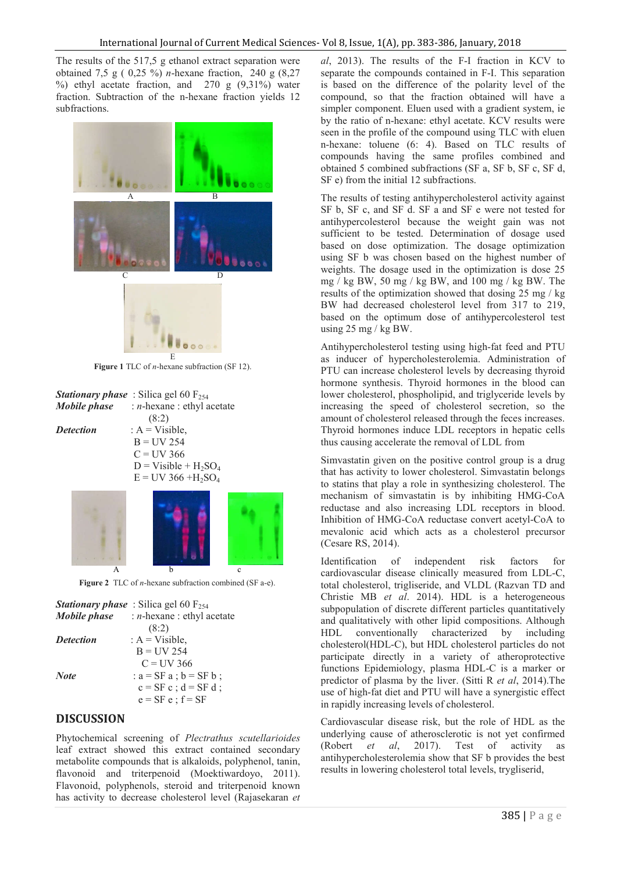The results of the 517,5 g ethanol extract separation were obtained 7,5 g ( 0,25 %) *n*-hexane fraction, 240 g (8,27 %) ethyl acetate fraction, and  $270$  g  $(9,31\%)$  water fraction. Subtraction of the n-hexane fraction yields 12 subfractions.



**Figure 1** TLC of *n*-hexane subfraction (SF 12).

|                  | <b>Stationary phase</b> : Silica gel 60 $F_{254}$      |  |  |
|------------------|--------------------------------------------------------|--|--|
|                  | <i>Mobile phase</i> : <i>n</i> -hexane : ethyl acetate |  |  |
|                  | (8:2)                                                  |  |  |
| <b>Detection</b> | : $A = Visible$ ,                                      |  |  |
|                  | $B = UV 254$                                           |  |  |
|                  | $C = UV$ 366                                           |  |  |
|                  | $D = V$ isible + H <sub>2</sub> SO <sub>4</sub>        |  |  |
|                  | $E = UV$ 366 +H <sub>2</sub> SO <sub>4</sub>           |  |  |
|                  |                                                        |  |  |
|                  |                                                        |  |  |
|                  |                                                        |  |  |

 $\mathbf{A}$  b c **Figure 2** TLC of *n*-hexane subfraction combined (SF a-e).

| Mobile phase     | <b>Stationary phase</b> : Silica gel 60 $F_{254}$<br>: $n$ -hexane : ethyl acetate |
|------------------|------------------------------------------------------------------------------------|
|                  | (8:2)                                                                              |
| <b>Detection</b> | : $A = Visible$ ,                                                                  |
|                  | $B = I/V 254$                                                                      |
|                  | $C = I/V$ 366                                                                      |
| <b>Note</b>      | : $a = SF$ a ; $b = SF$ b ;                                                        |
|                  | $c = SF c$ ; $d = SF d$ ;                                                          |
|                  | $e = SF e$ ; $f = SF$                                                              |

## **DISCUSSION**

Phytochemical screening of *Plectrathus scutellarioides*  leaf extract showed this extract contained secondary metabolite compounds that is alkaloids, polyphenol, tanin, flavonoid and triterpenoid (Moektiwardoyo, 2011). Flavonoid, polyphenols, steroid and triterpenoid known has activity to decrease cholesterol level (Rajasekaran *et*  *al*, 2013). The results of the F-I fraction in KCV to separate the compounds contained in F-I. This separation is based on the difference of the polarity level of the compound, so that the fraction obtained will have a simpler component. Eluen used with a gradient system, ie by the ratio of n-hexane: ethyl acetate. KCV results were seen in the profile of the compound using TLC with eluen n-hexane: toluene (6: 4). Based on TLC results of compounds having the same profiles combined and obtained 5 combined subfractions (SF a, SF b, SF c, SF d, SF e) from the initial 12 subfractions.

The results of testing antihypercholesterol activity against SF b, SF c, and SF d. SF a and SF e were not tested for antihypercolesterol because the weight gain was not sufficient to be tested. Determination of dosage used based on dose optimization. The dosage optimization using SF b was chosen based on the highest number of weights. The dosage used in the optimization is dose 25 mg / kg BW, 50 mg / kg BW, and 100 mg / kg BW. The results of the optimization showed that dosing 25 mg / kg BW had decreased cholesterol level from 317 to 219, based on the optimum dose of antihypercolesterol test using  $25 \text{ mg}$  / kg BW.

Antihypercholesterol testing using high-fat feed and PTU as inducer of hypercholesterolemia. Administration of PTU can increase cholesterol levels by decreasing thyroid hormone synthesis. Thyroid hormones in the blood can lower cholesterol, phospholipid, and triglyceride levels by increasing the speed of cholesterol secretion, so the amount of cholesterol released through the feces increases. Thyroid hormones induce LDL receptors in hepatic cells thus causing accelerate the removal of LDL from

Simvastatin given on the positive control group is a drug that has activity to lower cholesterol. Simvastatin belongs to statins that play a role in synthesizing cholesterol. The mechanism of simvastatin is by inhibiting HMG-CoA reductase and also increasing LDL receptors in blood. Inhibition of HMG-CoA reductase convert acetyl-CoA to mevalonic acid which acts as a cholesterol precursor (Cesare RS, 2014).

Identification of independent risk factors for cardiovascular disease clinically measured from LDL-C, total cholesterol, trigliseride, and VLDL (Razvan TD and Christie MB *et al*. 2014). HDL is a heterogeneous subpopulation of discrete different particles quantitatively and qualitatively with other lipid compositions. Although HDL conventionally characterized by including cholesterol(HDL-C), but HDL cholesterol particles do not participate directly in a variety of atheroprotective functions Epidemiology, plasma HDL-C is a marker or predictor of plasma by the liver. (Sitti R *et al*, 2014).The use of high-fat diet and PTU will have a synergistic effect in rapidly increasing levels of cholesterol.

Cardiovascular disease risk, but the role of HDL as the underlying cause of atherosclerotic is not yet confirmed (Robert *et al*, 2017). Test of activity as antihypercholesterolemia show that SF b provides the best results in lowering cholesterol total levels, trygliserid,